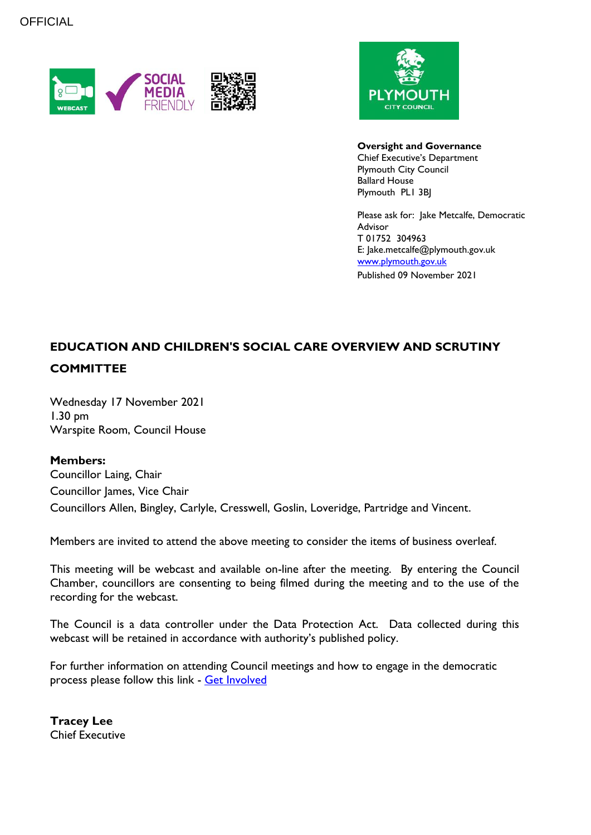



#### **Oversight and Governance**

Chief Executive's Department Plymouth City Council Ballard House Plymouth PL1 3BJ

Please ask for: Jake Metcalfe, Democratic Advisor T 01752 304963 E: Jake.metcalfe@plymouth.gov.uk [www.plymouth.gov.uk](https://www.plymouth.gov.uk/councillorscommitteesandmeetings) Published 09 November 2021

# **EDUCATION AND CHILDREN'S SOCIAL CARE OVERVIEW AND SCRUTINY COMMITTEE**

Wednesday 17 November 2021 1.30 pm Warspite Room, Council House

## **Members:**

Councillor Laing, Chair Councillor James, Vice Chair Councillors Allen, Bingley, Carlyle, Cresswell, Goslin, Loveridge, Partridge and Vincent.

Members are invited to attend the above meeting to consider the items of business overleaf.

This meeting will be webcast and available on-line after the meeting. By entering the Council Chamber, councillors are consenting to being filmed during the meeting and to the use of the recording for the webcast.

The Council is a data controller under the Data Protection Act. Data collected during this webcast will be retained in accordance with authority's published policy.

For further information on attending Council meetings and how to engage in the democratic process please follow this link - [Get Involved](https://www.plymouth.gov.uk/councillorscommitteesandmeetings/getinvolved)

**Tracey Lee** Chief Executive